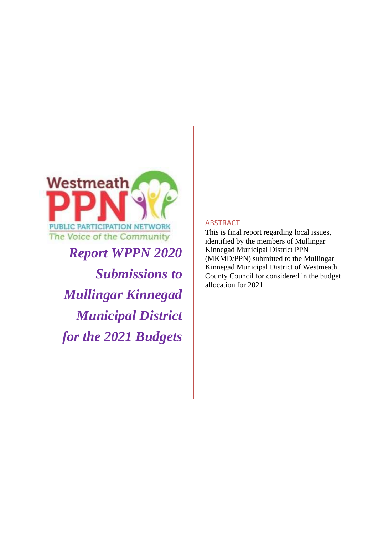

*Report WPPN 2020 Submissions to Mullingar Kinnegad Municipal District for the 2021 Budgets*

#### ABSTRACT

This is final report regarding local issues, identified by the members of Mullingar Kinnegad Municipal District PPN (MKMD/PPN) submitted to the Mullingar Kinnegad Municipal District of Westmeath County Council for considered in the budget allocation for 2021.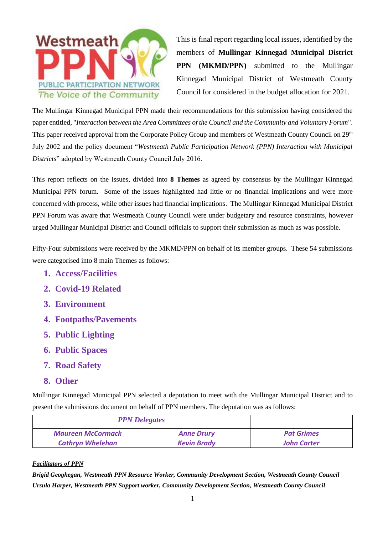

This is final report regarding local issues, identified by the members of **Mullingar Kinnegad Municipal District PPN** (MKMD/PPN) submitted to the Mullingar Kinnegad Municipal District of Westmeath County Council for considered in the budget allocation for 2021.

The Mullingar Kinnegad Municipal PPN made their recommendations for this submission having considered the paper entitled, "*Interaction between the Area Committees of the Council and the Community and Voluntary Forum*". This paper received approval from the Corporate Policy Group and members of Westmeath County Council on 29<sup>th</sup> July 2002 and the policy document "*Westmeath Public Participation Network (PPN) Interaction with Municipal Districts*" adopted by Westmeath County Council July 2016.

This report reflects on the issues, divided into **8 Themes** as agreed by consensus by the Mullingar Kinnegad Municipal PPN forum. Some of the issues highlighted had little or no financial implications and were more concerned with process, while other issues had financial implications. The Mullingar Kinnegad Municipal District PPN Forum was aware that Westmeath County Council were under budgetary and resource constraints, however urged Mullingar Municipal District and Council officials to support their submission as much as was possible.

Fifty-Four submissions were received by the MKMD/PPN on behalf of its member groups. These 54 submissions were categorised into 8 main Themes as follows:

- **1. Access/Facilities**
- **2. Covid-19 Related**
- **3. Environment**
- **4. Footpaths/Pavements**
- **5. Public Lighting**
- **6. Public Spaces**
- **7. Road Safety**
- **8. Other**

Mullingar Kinnegad Municipal PPN selected a deputation to meet with the Mullingar Municipal District and to present the submissions document on behalf of PPN members. The deputation was as follows:

| <b>PPN</b> Delegates     |                    |  |  |
|--------------------------|--------------------|--|--|
| <b>Maureen McCormack</b> | <b>Anne Drury</b>  |  |  |
| <b>Cathryn Whelehan</b>  | <b>John Carter</b> |  |  |

#### *Facilitators of PPN*

*Brigid Geoghegan, Westmeath PPN Resource Worker, Community Development Section, Westmeath County Council Ursula Harper, Westmeath PPN Support worker, Community Development Section, Westmeath County Council*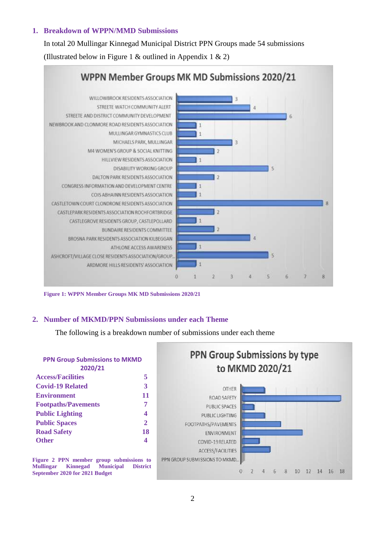#### **1. Breakdown of WPPN/MMD Submissions**

In total 20 Mullingar Kinnegad Municipal District PPN Groups made 54 submissions (Illustrated below in Figure 1 & outlined in Appendix 1 & 2)



**Figure 1: WPPN Member Groups MK MD Submissions 2020/21**

#### **2. Number of MKMD/PPN Submissions under each Theme**

The following is a breakdown number of submissions under each theme

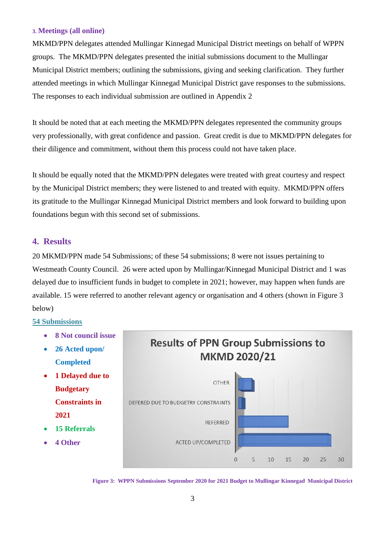#### **3. Meetings (all online)**

MKMD/PPN delegates attended Mullingar Kinnegad Municipal District meetings on behalf of WPPN groups. The MKMD/PPN delegates presented the initial submissions document to the Mullingar Municipal District members; outlining the submissions, giving and seeking clarification. They further attended meetings in which Mullingar Kinnegad Municipal District gave responses to the submissions. The responses to each individual submission are outlined in Appendix 2

It should be noted that at each meeting the MKMD/PPN delegates represented the community groups very professionally, with great confidence and passion. Great credit is due to MKMD/PPN delegates for their diligence and commitment, without them this process could not have taken place.

It should be equally noted that the MKMD/PPN delegates were treated with great courtesy and respect by the Municipal District members; they were listened to and treated with equity. MKMD/PPN offers its gratitude to the Mullingar Kinnegad Municipal District members and look forward to building upon foundations begun with this second set of submissions.

#### **4. Results**

20 MKMD/PPN made 54 Submissions; of these 54 submissions; 8 were not issues pertaining to Westmeath County Council. 26 were acted upon by Mullingar/Kinnegad Municipal District and 1 was delayed due to insufficient funds in budget to complete in 2021; however, may happen when funds are available. 15 were referred to another relevant agency or organisation and 4 others (shown in Figure 3 below)

#### **54 Submissions**

- **8 Not council issue**
- **26 Acted upon/ Completed**
- **1 Delayed due to Budgetary Constraints in 2021**
- **15 Referrals**
- **4 Other**



**Figure 3: WPPN Submissions September 2020 for 2021 Budget to Mullingar Kinnegad Municipal District**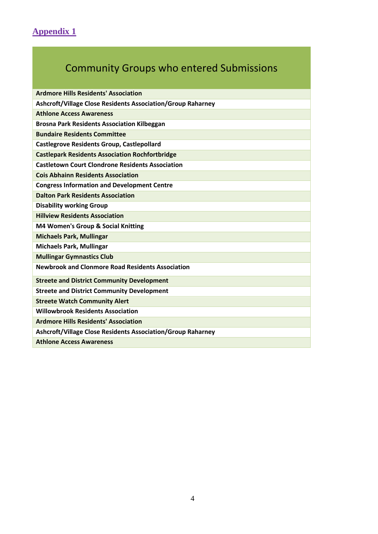## **Appendix 1**

# Community Groups who entered Submissions

| <b>Ardmore Hills Residents' Association</b>                 |
|-------------------------------------------------------------|
| Ashcroft/Village Close Residents Association/Group Raharney |
| <b>Athlone Access Awareness</b>                             |
| <b>Brosna Park Residents Association Kilbeggan</b>          |
| <b>Bundaire Residents Committee</b>                         |
| <b>Castlegrove Residents Group, Castlepollard</b>           |
| <b>Castlepark Residents Association Rochfortbridge</b>      |
| <b>Castletown Court Clondrone Residents Association</b>     |
| <b>Cois Abhainn Residents Association</b>                   |
| <b>Congress Information and Development Centre</b>          |
| <b>Dalton Park Residents Association</b>                    |
| <b>Disability working Group</b>                             |
| <b>Hillview Residents Association</b>                       |
| M4 Women's Group & Social Knitting                          |
| <b>Michaels Park, Mullingar</b>                             |
| <b>Michaels Park, Mullingar</b>                             |
| <b>Mullingar Gymnastics Club</b>                            |
| <b>Newbrook and Clonmore Road Residents Association</b>     |
| <b>Streete and District Community Development</b>           |
| <b>Streete and District Community Development</b>           |
| <b>Streete Watch Community Alert</b>                        |
| <b>Willowbrook Residents Association</b>                    |
| <b>Ardmore Hills Residents' Association</b>                 |
| Ashcroft/Village Close Residents Association/Group Raharney |
| <b>Athlone Access Awareness</b>                             |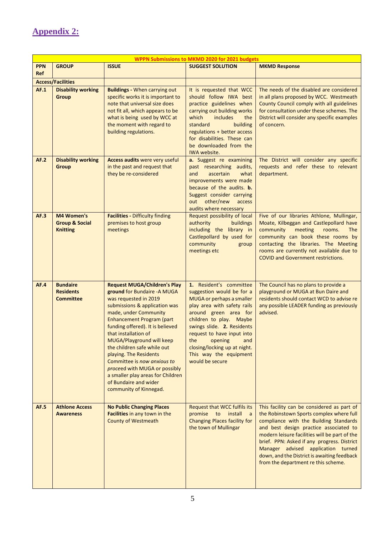### **Appendix 2:**

|                   | <b>WPPN Submissions to MKMD 2020 for 2021 budgets</b>      |                                                                                                                                                                                                                                                                                                                                                                                                                                                                                               |                                                                                                                                                                                                                                                                                                                                        |                                                                                                                                                                                                                                                                                                                                                                                                        |
|-------------------|------------------------------------------------------------|-----------------------------------------------------------------------------------------------------------------------------------------------------------------------------------------------------------------------------------------------------------------------------------------------------------------------------------------------------------------------------------------------------------------------------------------------------------------------------------------------|----------------------------------------------------------------------------------------------------------------------------------------------------------------------------------------------------------------------------------------------------------------------------------------------------------------------------------------|--------------------------------------------------------------------------------------------------------------------------------------------------------------------------------------------------------------------------------------------------------------------------------------------------------------------------------------------------------------------------------------------------------|
| <b>PPN</b><br>Ref | <b>GROUP</b>                                               | <b>ISSUE</b>                                                                                                                                                                                                                                                                                                                                                                                                                                                                                  | <b>SUGGEST SOLUTION</b>                                                                                                                                                                                                                                                                                                                | <b>MKMD Response</b>                                                                                                                                                                                                                                                                                                                                                                                   |
|                   | <b>Access/Facilities</b>                                   |                                                                                                                                                                                                                                                                                                                                                                                                                                                                                               |                                                                                                                                                                                                                                                                                                                                        |                                                                                                                                                                                                                                                                                                                                                                                                        |
| AF.1              | <b>Disability working</b><br><b>Group</b>                  | <b>Buildings - When carrying out</b><br>specific works it is important to<br>note that universal size does<br>not fit all, which appears to be<br>what is being used by WCC at<br>the moment with regard to<br>building regulations.                                                                                                                                                                                                                                                          | It is requested that WCC<br>should follow IWA best<br>practice guidelines when<br>carrying out building works<br>which<br>includes<br>the<br>building<br>standard<br>regulations + better access<br>for disabilities. These can<br>be downloaded from the<br>IWA website.                                                              | The needs of the disabled are considered<br>in all plans proposed by WCC. Westmeath<br>County Council comply with all guidelines<br>for consultation under these schemes. The<br>District will consider any specific examples<br>of concern.                                                                                                                                                           |
| AF.2              | <b>Disability working</b><br><b>Group</b>                  | Access audits were very useful<br>in the past and request that<br>they be re-considered                                                                                                                                                                                                                                                                                                                                                                                                       | a. Suggest re examining<br>past researching audits,<br>and<br>ascertain<br>what<br>improvements were made<br>because of the audits. <b>b.</b><br>Suggest consider carrying<br>out other/new<br>access<br>audits where necessary                                                                                                        | The District will consider any specific<br>requests and refer these to relevant<br>department.                                                                                                                                                                                                                                                                                                         |
| AF.3              | M4 Women's<br><b>Group &amp; Social</b><br><b>Knitting</b> | <b>Facilities - Difficulty finding</b><br>premises to host group<br>meetings                                                                                                                                                                                                                                                                                                                                                                                                                  | Request possibility of local<br>authority<br>buildings<br>including the library in<br>Castlepollard by used for<br>community<br>group<br>meetings etc                                                                                                                                                                                  | Five of our libraries Athlone, Mullingar,<br>Moate, Kilbeggan and Castlepollard have<br>community<br>meeting<br>rooms.<br><b>The</b><br>community can book these rooms by<br>contacting the libraries. The Meeting<br>rooms are currently not available due to<br><b>COVID and Government restrictions.</b>                                                                                            |
| AF.4              | <b>Bundaire</b><br><b>Residents</b><br><b>Committee</b>    | <b>Request MUGA/Children's Play</b><br>ground for Bundaire - A MUGA<br>was requested in 2019<br>submissions & application was<br>made, under Community<br>Enhancement Program (part<br>funding offered). It is believed<br>that installation of<br>MUGA/Playground will keep<br>the children safe while out<br>playing. The Residents<br>Committee is now anxious to<br>proceed with MUGA or possibly<br>a smaller play areas for Children<br>of Bundaire and wider<br>community of Kinnegad. | 1. Resident's committee<br>suggestion would be for a<br>MUGA or perhaps a smaller<br>play area with safety rails<br>around green area for<br>children to play. Maybe<br>swings slide. 2. Residents<br>request to have input into<br>opening<br>the<br>and<br>closing/locking up at night.<br>This way the equipment<br>would be secure | The Council has no plans to provide a<br>playground or MUGA at Bun Daire and<br>residents should contact WCD to advise re<br>any possible LEADER funding as previously<br>advised.                                                                                                                                                                                                                     |
| <b>AF.5</b>       | <b>Athlone Access</b><br><b>Awareness</b>                  | <b>No Public Changing Places</b><br>Facilities in any town in the<br><b>County of Westmeath</b>                                                                                                                                                                                                                                                                                                                                                                                               | Request that WCC fulfils its<br>promise to<br>install<br>$\overline{a}$<br>Changing Places facility for<br>the town of Mullingar                                                                                                                                                                                                       | This facility can be considered as part of<br>the Robinstown Sports complex where full<br>compliance with the Building Standards<br>and best design practice associated to<br>modern leisure facilities will be part of the<br>brief. PPN: Asked if any progress. District<br>Manager advised application turned<br>down, and the District is awaiting feedback<br>from the department re this scheme. |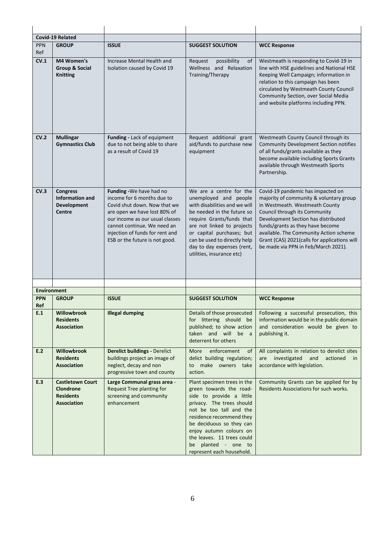|                    | <b>Covid-19 Related</b>                                                          |                                                                                                                                                                                                                                                               |                                                                                                                                                                                                                                                                                                                 |                                                                                                                                                                                                                                                                                                                                                             |
|--------------------|----------------------------------------------------------------------------------|---------------------------------------------------------------------------------------------------------------------------------------------------------------------------------------------------------------------------------------------------------------|-----------------------------------------------------------------------------------------------------------------------------------------------------------------------------------------------------------------------------------------------------------------------------------------------------------------|-------------------------------------------------------------------------------------------------------------------------------------------------------------------------------------------------------------------------------------------------------------------------------------------------------------------------------------------------------------|
| <b>PPN</b><br>Ref  | <b>GROUP</b>                                                                     | <b>ISSUE</b>                                                                                                                                                                                                                                                  | <b>SUGGEST SOLUTION</b>                                                                                                                                                                                                                                                                                         | <b>WCC Response</b>                                                                                                                                                                                                                                                                                                                                         |
| CV.1               | M4 Women's<br><b>Group &amp; Social</b><br><b>Knitting</b>                       | Increase Mental Health and<br>Isolation caused by Covid 19                                                                                                                                                                                                    | Request<br>possibility<br>of<br>Wellness and Relaxation<br>Training/Therapy                                                                                                                                                                                                                                     | Westmeath is responding to Covid-19 in<br>line with HSE guidelines and National HSE<br>Keeping Well Campaign; information in<br>relation to this campaign has been<br>circulated by Westmeath County Council<br>Community Section, over Social Media<br>and website platforms including PPN.                                                                |
| CV.2               | <b>Mullingar</b><br><b>Gymnastics Club</b>                                       | Funding - Lack of equipment<br>due to not being able to share<br>as a result of Covid 19                                                                                                                                                                      | Request additional grant<br>aid/funds to purchase new<br>equipment                                                                                                                                                                                                                                              | Westmeath County Council through its<br><b>Community Development Section notifies</b><br>of all funds/grants available as they<br>become available including Sports Grants<br>available through Westmeath Sports<br>Partnership.                                                                                                                            |
| CV.3               | <b>Congress</b><br><b>Information and</b><br><b>Development</b><br><b>Centre</b> | Funding - We have had no<br>income for 6 months due to<br>Covid shut down. Now that we<br>are open we have lost 80% of<br>our income as our usual classes<br>cannot continue. We need an<br>injection of funds for rent and<br>ESB or the future is not good. | We are a centre for the<br>unemployed and people<br>with disabilities and we will<br>be needed in the future so<br>require Grants/funds that<br>are not linked to projects<br>or capital purchases; but<br>can be used to directly help<br>day to day expenses (rent,<br>utilities, insurance etc)              | Covid-19 pandemic has impacted on<br>majority of community & voluntary group<br>in Westmeath. Westmeath County<br>Council through its Community<br>Development Section has distributed<br>funds/grants as they have become<br>available. The Community Action scheme<br>Grant (CAS) 2021(calls for applications will<br>be made via PPN in Feb/March 2021). |
| <b>Environment</b> |                                                                                  |                                                                                                                                                                                                                                                               |                                                                                                                                                                                                                                                                                                                 |                                                                                                                                                                                                                                                                                                                                                             |
| <b>PPN</b>         | <b>GROUP</b>                                                                     | <b>ISSUE</b>                                                                                                                                                                                                                                                  | <b>SUGGEST SOLUTION</b>                                                                                                                                                                                                                                                                                         | <b>WCC Response</b>                                                                                                                                                                                                                                                                                                                                         |
| <b>Ref</b><br>E.1  | Willowbrook<br><b>Residents</b><br><b>Association</b>                            | <b>Illegal dumping</b>                                                                                                                                                                                                                                        | Details of those prosecuted<br>for littering should be<br>published; to show action<br>taken and will be a<br>deterrent for others                                                                                                                                                                              | Following a successful prosecution, this<br>information would be in the public domain<br>and consideration would be given to<br>publishing it.                                                                                                                                                                                                              |
| E.2                | Willowbrook<br><b>Residents</b><br><b>Association</b>                            | <b>Derelict buildings - Derelict</b><br>buildings project an image of<br>neglect, decay and non<br>progressive town and county                                                                                                                                | enforcement<br>More<br>of<br>delict building regulation;<br>make owners take<br>to<br>action.                                                                                                                                                                                                                   | All complaints in relation to derelict sites<br>investigated<br>and<br>actioned<br>are<br>in<br>accordance with legislation.                                                                                                                                                                                                                                |
| E.3                | <b>Castletown Court</b><br>Clondrone<br><b>Residents</b><br><b>Association</b>   | Large Communal grass area -<br><b>Request Tree planting for</b><br>screening and community<br>enhancement                                                                                                                                                     | Plant specimen trees in the<br>green towards the road-<br>side to provide a little<br>privacy. The trees should<br>not be too tall and the<br>residence recommend they<br>be deciduous so they can<br>enjoy autumn colours on<br>the leaves. 11 trees could<br>be planted - one to<br>represent each household. | Community Grants can be applied for by<br>Residents Associations for such works.                                                                                                                                                                                                                                                                            |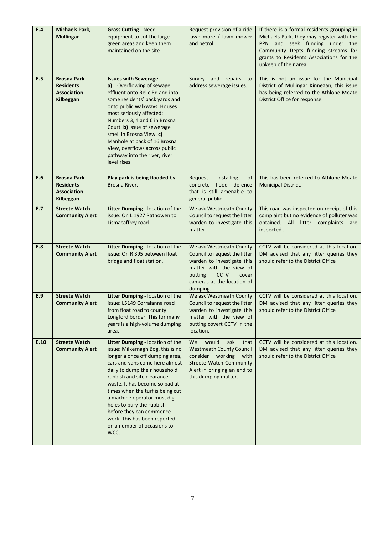| E.4  | <b>Michaels Park,</b><br><b>Mullingar</b>                                 | <b>Grass Cutting - Need</b><br>equipment to cut the large<br>green areas and keep them<br>maintained on the site                                                                                                                                                                                                                                                                                                                               | Request provision of a ride<br>lawn more / lawn mower<br>and petrol.                                                                                                                           | If there is a formal residents grouping in<br>Michaels Park, they may register with the<br>PPN and seek funding under the<br>Community Depts funding streams for<br>grants to Residents Associations for the<br>upkeep of their area. |
|------|---------------------------------------------------------------------------|------------------------------------------------------------------------------------------------------------------------------------------------------------------------------------------------------------------------------------------------------------------------------------------------------------------------------------------------------------------------------------------------------------------------------------------------|------------------------------------------------------------------------------------------------------------------------------------------------------------------------------------------------|---------------------------------------------------------------------------------------------------------------------------------------------------------------------------------------------------------------------------------------|
| E.5  | <b>Brosna Park</b><br><b>Residents</b><br><b>Association</b><br>Kilbeggan | <b>Issues with Sewerage.</b><br>a) Overflowing of sewage<br>effluent onto Relic Rd and into<br>some residents' back yards and<br>onto public walkways. Houses<br>most seriously affected:<br>Numbers 3, 4 and 6 in Brosna<br>Court. b) Issue of sewerage<br>smell in Brosna View. c)<br>Manhole at back of 16 Brosna<br>View, overflows across public<br>pathway into the river, river<br>level rises                                          | Survey and repairs<br>to<br>address sewerage issues.                                                                                                                                           | This is not an issue for the Municipal<br>District of Mullingar Kinnegan, this issue<br>has being referred to the Athlone Moate<br>District Office for response.                                                                      |
| E.6  | <b>Brosna Park</b><br><b>Residents</b><br><b>Association</b><br>Kilbeggan | Play park is being flooded by<br>Brosna River.                                                                                                                                                                                                                                                                                                                                                                                                 | Request<br>installing<br>of<br>concrete flood defence<br>that is still amenable to<br>general public                                                                                           | This has been referred to Athlone Moate<br>Municipal District.                                                                                                                                                                        |
| E.7  | <b>Streete Watch</b><br><b>Community Alert</b>                            | Litter Dumping - location of the<br>issue: On L 1927 Rathowen to<br>Lismacaffrey road                                                                                                                                                                                                                                                                                                                                                          | We ask Westmeath County<br>Council to request the litter<br>warden to investigate this<br>matter                                                                                               | This road was inspected on receipt of this<br>complaint but no evidence of polluter was<br>obtained. All litter complaints are<br>inspected.                                                                                          |
| E.8  | <b>Streete Watch</b><br><b>Community Alert</b>                            | Litter Dumping - location of the<br>issue: On R 395 between float<br>bridge and float station.                                                                                                                                                                                                                                                                                                                                                 | We ask Westmeath County<br>Council to request the litter<br>warden to investigate this<br>matter with the view of<br>putting<br><b>CCTV</b><br>cover<br>cameras at the location of<br>dumping. | CCTV will be considered at this location.<br>DM advised that any litter queries they<br>should refer to the District Office                                                                                                           |
| E.9  | <b>Streete Watch</b><br><b>Community Alert</b>                            | Litter Dumping - location of the<br>issue: L5149 Corralanna road<br>from float road to county<br>Longford border. This for many<br>years is a high-volume dumping<br>area.                                                                                                                                                                                                                                                                     | We ask Westmeath County<br>Council to request the litter<br>warden to investigate this<br>matter with the view of<br>putting covert CCTV in the<br>location.                                   | CCTV will be considered at this location.<br>DM advised that any litter queries they<br>should refer to the District Office                                                                                                           |
| E.10 | <b>Streete Watch</b><br><b>Community Alert</b>                            | Litter Dumping - location of the<br>issue: Milkernagh Bog, this is no<br>longer a once off dumping area,<br>cars and vans come here almost<br>daily to dump their household<br>rubbish and site clearance<br>waste. It has become so bad at<br>times when the turf is being cut<br>a machine operator must dig<br>holes to bury the rubbish<br>before they can commence<br>work. This has been reported<br>on a number of occasions to<br>WCC. | would<br>ask<br>We<br>that<br><b>Westmeath County Council</b><br>consider<br>working<br>with<br><b>Streete Watch Community</b><br>Alert in bringing an end to<br>this dumping matter.          | CCTV will be considered at this location.<br>DM advised that any litter queries they<br>should refer to the District Office                                                                                                           |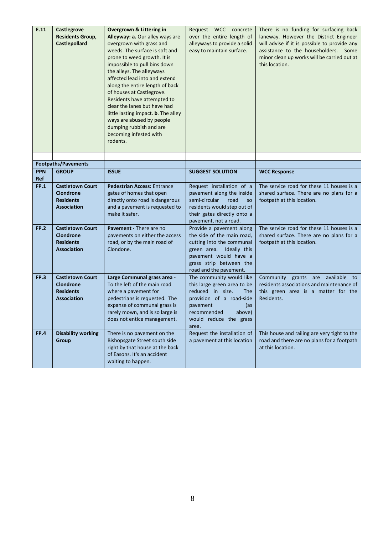| E.11              | Castlegrove<br><b>Residents Group,</b><br><b>Castlepollard</b>                        | <b>Overgrown &amp; Littering in</b><br>Alleyway: a. Our alley ways are<br>overgrown with grass and<br>weeds. The surface is soft and<br>prone to weed growth. It is<br>impossible to pull bins down<br>the alleys. The alleyways<br>affected lead into and extend<br>along the entire length of back<br>of houses at Castlegrove.<br>Residents have attempted to<br>clear the lanes but have had<br>little lasting impact. <b>b</b> . The alley<br>ways are abused by people<br>dumping rubbish and are<br>becoming infested with<br>rodents. | Request WCC concrete<br>over the entire length of<br>alleyways to provide a solid<br>easy to maintain surface.                                                                                       | There is no funding for surfacing back<br>laneway. However the District Engineer<br>will advise if it is possible to provide any<br>assistance to the householders. Some<br>minor clean up works will be carried out at<br>this location. |
|-------------------|---------------------------------------------------------------------------------------|-----------------------------------------------------------------------------------------------------------------------------------------------------------------------------------------------------------------------------------------------------------------------------------------------------------------------------------------------------------------------------------------------------------------------------------------------------------------------------------------------------------------------------------------------|------------------------------------------------------------------------------------------------------------------------------------------------------------------------------------------------------|-------------------------------------------------------------------------------------------------------------------------------------------------------------------------------------------------------------------------------------------|
|                   |                                                                                       |                                                                                                                                                                                                                                                                                                                                                                                                                                                                                                                                               |                                                                                                                                                                                                      |                                                                                                                                                                                                                                           |
|                   | <b>Footpaths/Pavements</b>                                                            |                                                                                                                                                                                                                                                                                                                                                                                                                                                                                                                                               |                                                                                                                                                                                                      |                                                                                                                                                                                                                                           |
| <b>PPN</b><br>Ref | <b>GROUP</b>                                                                          | <b>ISSUE</b>                                                                                                                                                                                                                                                                                                                                                                                                                                                                                                                                  | <b>SUGGEST SOLUTION</b>                                                                                                                                                                              | <b>WCC Response</b>                                                                                                                                                                                                                       |
| <b>FP.1</b>       | <b>Castletown Court</b><br><b>Clondrone</b><br><b>Residents</b><br><b>Association</b> | <b>Pedestrian Access: Entrance</b><br>gates of homes that open<br>directly onto road is dangerous<br>and a pavement is requested to<br>make it safer.                                                                                                                                                                                                                                                                                                                                                                                         | Request installation of a<br>pavement along the inside<br>semi-circular<br>road<br><b>SO</b><br>residents would step out of<br>their gates directly onto a<br>pavement, not a road.                  | The service road for these 11 houses is a<br>shared surface. There are no plans for a<br>footpath at this location.                                                                                                                       |
| <b>FP.2</b>       | <b>Castletown Court</b><br><b>Clondrone</b><br><b>Residents</b><br><b>Association</b> | <b>Pavement - There are no</b><br>pavements on either the access<br>road, or by the main road of<br>Clondone.                                                                                                                                                                                                                                                                                                                                                                                                                                 | Provide a pavement along<br>the side of the main road,<br>cutting into the communal<br>green area. Ideally this<br>pavement would have a<br>grass strip between the<br>road and the pavement.        | The service road for these 11 houses is a<br>shared surface. There are no plans for a<br>footpath at this location.                                                                                                                       |
| FP.3              | <b>Castletown Court</b><br>Clondrone<br><b>Residents</b><br><b>Association</b>        | Large Communal grass area -<br>To the left of the main road<br>where a pavement for<br>pedestrians is requested. The<br>expanse of communal grass is<br>rarely mown, and is so large is<br>does not entice management.                                                                                                                                                                                                                                                                                                                        | The community would like<br>this large green area to be<br>reduced in size.<br><b>The</b><br>provision of a road-side<br>pavement<br>(as<br>recommended<br>above)<br>would reduce the grass<br>area. | available<br>Community grants are<br>to<br>residents associations and maintenance of<br>this green area is a matter for the<br>Residents.                                                                                                 |
| <b>FP.4</b>       | <b>Disability working</b><br>Group                                                    | There is no pavement on the<br>Bishopsgate Street south side<br>right by that house at the back<br>of Easons. It's an accident<br>waiting to happen.                                                                                                                                                                                                                                                                                                                                                                                          | Request the installation of<br>a pavement at this location                                                                                                                                           | This house and railing are very tight to the<br>road and there are no plans for a footpath<br>at this location.                                                                                                                           |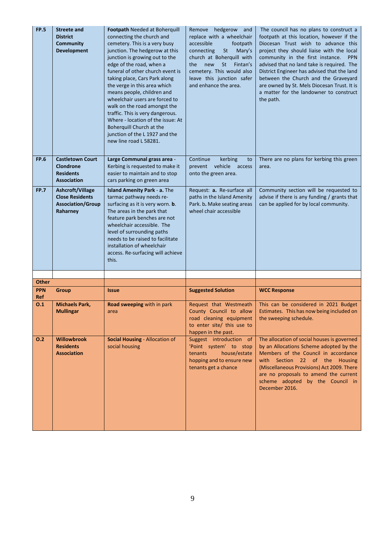| <b>FP.5</b>       | <b>Streete and</b><br><b>District</b><br><b>Community</b><br><b>Development</b>       | Footpath Needed at Boherquill<br>connecting the church and<br>cemetery. This is a very busy<br>junction. The hedgerow at this<br>junction is growing out to the<br>edge of the road, when a<br>funeral of other church event is<br>taking place, Cars Park along<br>the verge in this area which<br>means people, children and<br>wheelchair users are forced to<br>walk on the road amongst the<br>traffic. This is very dangerous.<br>Where - location of the issue: At<br>Boherquill Church at the<br>junction of the L 1927 and the<br>new line road L 58281. | Remove hedgerow and<br>replace with a wheelchair<br>accessible<br>footpath<br>St<br>connecting<br>Mary's<br>church at Boherquill with<br><b>St</b><br>Fintan's<br>the<br>new<br>cemetery. This would also<br>leave this junction safer<br>and enhance the area. | The council has no plans to construct a<br>footpath at this location, however if the<br>Diocesan Trust wish to advance this<br>project they should liaise with the local<br>community in the first instance.<br><b>PPN</b><br>advised that no land take is required. The<br>District Engineer has advised that the land<br>between the Church and the Graveyard<br>are owned by St. Mels Diocesan Trust. It is<br>a matter for the landowner to construct<br>the path. |
|-------------------|---------------------------------------------------------------------------------------|-------------------------------------------------------------------------------------------------------------------------------------------------------------------------------------------------------------------------------------------------------------------------------------------------------------------------------------------------------------------------------------------------------------------------------------------------------------------------------------------------------------------------------------------------------------------|-----------------------------------------------------------------------------------------------------------------------------------------------------------------------------------------------------------------------------------------------------------------|------------------------------------------------------------------------------------------------------------------------------------------------------------------------------------------------------------------------------------------------------------------------------------------------------------------------------------------------------------------------------------------------------------------------------------------------------------------------|
| <b>FP.6</b>       | <b>Castletown Court</b><br><b>Clondrone</b><br><b>Residents</b><br><b>Association</b> | Large Communal grass area -<br>Kerbing is requested to make it<br>easier to maintain and to stop<br>cars parking on green area                                                                                                                                                                                                                                                                                                                                                                                                                                    | Continue<br>kerbing<br>to<br>prevent vehicle<br>access<br>onto the green area.                                                                                                                                                                                  | There are no plans for kerbing this green<br>area.                                                                                                                                                                                                                                                                                                                                                                                                                     |
| <b>FP.7</b>       | Ashcroft/Village<br><b>Close Residents</b><br><b>Association/Group</b><br>Raharney    | Island Amenity Park - a. The<br>tarmac pathway needs re-<br>surfacing as it is very worn. b.<br>The areas in the park that<br>feature park benches are not<br>wheelchair accessible. The<br>level of surrounding paths<br>needs to be raised to facilitate<br>installation of wheelchair<br>access. Re-surfacing will achieve<br>this.                                                                                                                                                                                                                            | Request: a. Re-surface all<br>paths in the Island Amenity<br>Park. b. Make seating areas<br>wheel chair accessible                                                                                                                                              | Community section will be requested to<br>advise if there is any funding / grants that<br>can be applied for by local community.                                                                                                                                                                                                                                                                                                                                       |
|                   |                                                                                       |                                                                                                                                                                                                                                                                                                                                                                                                                                                                                                                                                                   |                                                                                                                                                                                                                                                                 |                                                                                                                                                                                                                                                                                                                                                                                                                                                                        |
| <b>Other</b>      |                                                                                       |                                                                                                                                                                                                                                                                                                                                                                                                                                                                                                                                                                   |                                                                                                                                                                                                                                                                 |                                                                                                                                                                                                                                                                                                                                                                                                                                                                        |
| <b>PPN</b><br>Ref | <b>Group</b>                                                                          | <i><b>Issue</b></i>                                                                                                                                                                                                                                                                                                                                                                                                                                                                                                                                               | <b>Suggested Solution</b>                                                                                                                                                                                                                                       | <b>WCC Response</b>                                                                                                                                                                                                                                                                                                                                                                                                                                                    |
| 0.1               | <b>Michaels Park,</b><br><b>Mullingar</b>                                             | Road sweeping with in park<br>area                                                                                                                                                                                                                                                                                                                                                                                                                                                                                                                                | Request that Westmeath<br>County Council to allow<br>road cleaning equipment<br>to enter site/ this use to<br>happen in the past.                                                                                                                               | This can be considered in 2021 Budget<br>Estimates. This has now being included on<br>the sweeping schedule.                                                                                                                                                                                                                                                                                                                                                           |
| 0.2               | <b>Willowbrook</b><br><b>Residents</b><br><b>Association</b>                          | Social Housing - Allocation of<br>social housing                                                                                                                                                                                                                                                                                                                                                                                                                                                                                                                  | Suggest introduction of<br>'Point system' to stop<br>house/estate<br>tenants<br>hopping and to ensure new<br>tenants get a chance                                                                                                                               | The allocation of social houses is governed<br>by an Allocations Scheme adopted by the<br>Members of the Council in accordance<br>with Section 22 of the Housing<br>(Miscellaneous Provisions) Act 2009. There<br>are no proposals to amend the current<br>scheme adopted by the Council in<br>December 2016.                                                                                                                                                          |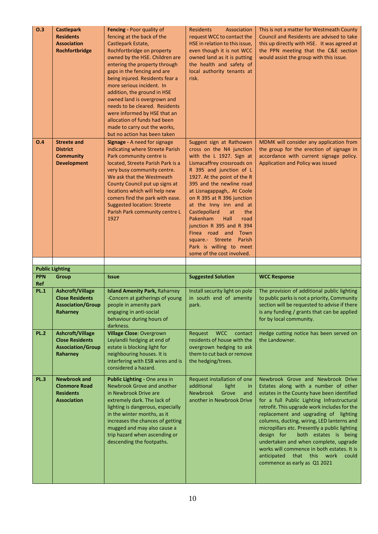| O.3         | <b>Castlepark</b><br><b>Residents</b><br><b>Association</b><br>Rochfortbridge             | Fencing - Poor quality of<br>fencing at the back of the<br>Castlepark Estate,<br>Rochfortbridge on property<br>owned by the HSE. Children are<br>entering the property through<br>gaps in the fencing and are<br>being injured. Residents fear a<br>more serious incident. In<br>addition, the ground in HSE<br>owned land is overgrown and<br>needs to be cleared. Residents<br>were informed by HSE that an<br>allocation of funds had been<br>made to carry out the works,<br>but no action has been taken | <b>Residents</b><br>Association<br>request WCC to contact the<br>HSE in relation to this issue,<br>even though it is not WCC<br>owned land as it is putting<br>the health and safety of<br>local authority tenants at<br>risk.                                                                                                                                                                                                                                                                    | This is not a matter for Westmeath County<br>Council and Residents are advised to take<br>this up directly with HSE. It was agreed at<br>the PPN meeting that the C&E section<br>would assist the group with this issue. |
|-------------|-------------------------------------------------------------------------------------------|---------------------------------------------------------------------------------------------------------------------------------------------------------------------------------------------------------------------------------------------------------------------------------------------------------------------------------------------------------------------------------------------------------------------------------------------------------------------------------------------------------------|---------------------------------------------------------------------------------------------------------------------------------------------------------------------------------------------------------------------------------------------------------------------------------------------------------------------------------------------------------------------------------------------------------------------------------------------------------------------------------------------------|--------------------------------------------------------------------------------------------------------------------------------------------------------------------------------------------------------------------------|
| O.4         | <b>Streete and</b><br><b>District</b><br><b>Community</b><br><b>Development</b>           | <b>Signage - A need for signage</b><br>indicating where Streete Parish<br>Park community centre is<br>located, Streete Parish Park is a<br>very busy community centre.<br>We ask that the Westmeath<br>County Council put up signs at<br>locations which will help new<br>comers find the park with ease.<br><b>Suggested location: Streete</b><br>Parish Park community centre L<br>1927                                                                                                                     | Suggest sign at Rathowen<br>cross on the N4 junction<br>with the L 1927. Sign at<br>Lismacaffrey crossroads on<br>R 395 and junction of L<br>1927. At the point of the R<br>395 and the newline road<br>at Lisnagappagh,. At Coole<br>on R 395 at R 396 junction<br>at the Inny inn and at<br>Castlepollard<br>at<br>the<br>Pakenham<br>Hall<br>road<br>junction R 395 and R 394<br>Finea road and<br>Town<br>Parish<br>square.- Streete<br>Park is willing to meet<br>some of the cost involved. | MDMK will consider any application from<br>the group for the erection of signage in<br>accordance with current signage policy.<br>Application and Policy was issued                                                      |
|             |                                                                                           |                                                                                                                                                                                                                                                                                                                                                                                                                                                                                                               |                                                                                                                                                                                                                                                                                                                                                                                                                                                                                                   |                                                                                                                                                                                                                          |
|             |                                                                                           |                                                                                                                                                                                                                                                                                                                                                                                                                                                                                                               |                                                                                                                                                                                                                                                                                                                                                                                                                                                                                                   |                                                                                                                                                                                                                          |
| <b>PPN</b>  | <b>Public Lighting</b>                                                                    | <b>Issue</b>                                                                                                                                                                                                                                                                                                                                                                                                                                                                                                  |                                                                                                                                                                                                                                                                                                                                                                                                                                                                                                   |                                                                                                                                                                                                                          |
| Ref         | Group                                                                                     |                                                                                                                                                                                                                                                                                                                                                                                                                                                                                                               | <b>Suggested Solution</b>                                                                                                                                                                                                                                                                                                                                                                                                                                                                         | <b>WCC Response</b>                                                                                                                                                                                                      |
| <b>PL.1</b> | <b>Ashcroft/Village</b><br><b>Close Residents</b><br><b>Association/Group</b><br>Raharney | <b>Island Amenity Park, Raharney</b><br>-Concern at gatherings of young<br>people in amenity park<br>engaging in anti-social<br>behaviour during hours of<br>darkness.                                                                                                                                                                                                                                                                                                                                        | Install security light on pole<br>in south end of amenity<br>park.                                                                                                                                                                                                                                                                                                                                                                                                                                | The provision of additional public lighting<br>to public parks is not a priority, Community<br>section will be requested to advise if there<br>is any funding / grants that can be applied<br>for by local community.    |
| <b>PL.2</b> | Ashcroft/Village<br><b>Close Residents</b><br><b>Association/Group</b><br>Raharney        | <b>Village Close: Overgrown</b><br>Leylandii hedging at end of<br>estate is blocking light for<br>neighbouring houses. It is<br>interfering with ESB wires and is<br>considered a hazard.                                                                                                                                                                                                                                                                                                                     | <b>WCC</b><br>Request<br>contact<br>residents of house with the<br>overgrown hedging to ask<br>them to cut back or remove<br>the hedging/trees.                                                                                                                                                                                                                                                                                                                                                   | Hedge cutting notice has been served on<br>the Landowner.                                                                                                                                                                |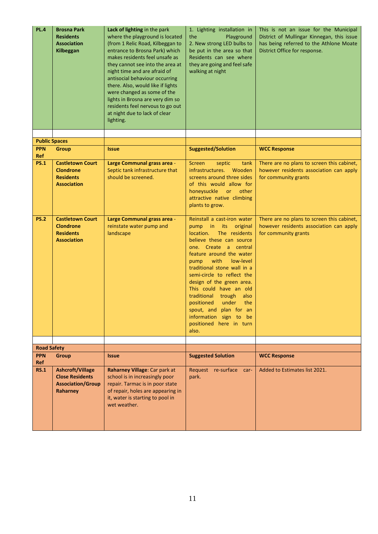| <b>PL.4</b>                        | <b>Brosna Park</b><br><b>Residents</b><br><b>Association</b><br>Kilbeggan                 | Lack of lighting in the park<br>where the playground is located<br>(from 1 Relic Road, Kilbeggan to<br>entrance to Brosna Park) which<br>makes residents feel unsafe as<br>they cannot see into the area at<br>night time and are afraid of<br>antisocial behaviour occurring<br>there. Also, would like if lights<br>were changed as some of the<br>lights in Brosna are very dim so<br>residents feel nervous to go out<br>at night due to lack of clear<br>lighting. | 1. Lighting installation in<br>the<br>Playground<br>2. New strong LED bulbs to<br>be put in the area so that<br>Residents can see where<br>they are going and feel safe<br>walking at night                                                                                                                                                                                                                                                                                | This is not an issue for the Municipal<br>District of Mullingar Kinnegan, this issue<br>has being referred to the Athlone Moate<br>District Office for response. |
|------------------------------------|-------------------------------------------------------------------------------------------|-------------------------------------------------------------------------------------------------------------------------------------------------------------------------------------------------------------------------------------------------------------------------------------------------------------------------------------------------------------------------------------------------------------------------------------------------------------------------|----------------------------------------------------------------------------------------------------------------------------------------------------------------------------------------------------------------------------------------------------------------------------------------------------------------------------------------------------------------------------------------------------------------------------------------------------------------------------|------------------------------------------------------------------------------------------------------------------------------------------------------------------|
|                                    |                                                                                           |                                                                                                                                                                                                                                                                                                                                                                                                                                                                         |                                                                                                                                                                                                                                                                                                                                                                                                                                                                            |                                                                                                                                                                  |
| <b>Public Spaces</b><br><b>PPN</b> |                                                                                           |                                                                                                                                                                                                                                                                                                                                                                                                                                                                         |                                                                                                                                                                                                                                                                                                                                                                                                                                                                            |                                                                                                                                                                  |
| <b>Ref</b>                         | <b>Group</b>                                                                              | <b>Issue</b>                                                                                                                                                                                                                                                                                                                                                                                                                                                            | <b>Suggested/Solution</b>                                                                                                                                                                                                                                                                                                                                                                                                                                                  | <b>WCC Response</b>                                                                                                                                              |
| <b>PS.1</b>                        | <b>Castletown Court</b><br><b>Clondrone</b><br><b>Residents</b><br><b>Association</b>     | Large Communal grass area -<br>Septic tank infrastructure that<br>should be screened.                                                                                                                                                                                                                                                                                                                                                                                   | <b>Screen</b><br>septic<br>tank<br>infrastructures. Wooden<br>screens around three sides<br>of this would allow for<br>honeysuckle or other<br>attractive native climbing<br>plants to grow.                                                                                                                                                                                                                                                                               | There are no plans to screen this cabinet,<br>however residents association can apply<br>for community grants                                                    |
| <b>PS.2</b>                        | <b>Castletown Court</b><br><b>Clondrone</b><br><b>Residents</b><br><b>Association</b>     | Large Communal grass area -<br>reinstate water pump and<br>landscape                                                                                                                                                                                                                                                                                                                                                                                                    | Reinstall a cast-iron water<br>pump in its<br>original<br>location.<br>The residents<br>believe these can source<br>one. Create a central<br>feature around the water<br>with<br>low-level<br>pump<br>traditional stone wall in a<br>semi-circle to reflect the<br>design of the green area.<br>This could have an old<br>traditional trough<br>also<br>under<br>the<br>positioned<br>spout, and plan for an<br>information sign to be<br>positioned here in turn<br>also. | There are no plans to screen this cabinet,<br>however residents association can apply<br>for community grants                                                    |
|                                    |                                                                                           |                                                                                                                                                                                                                                                                                                                                                                                                                                                                         |                                                                                                                                                                                                                                                                                                                                                                                                                                                                            |                                                                                                                                                                  |
| <b>Road Safety</b>                 |                                                                                           |                                                                                                                                                                                                                                                                                                                                                                                                                                                                         |                                                                                                                                                                                                                                                                                                                                                                                                                                                                            |                                                                                                                                                                  |
| <b>PPN</b><br>Ref                  | Group                                                                                     | <b>Issue</b>                                                                                                                                                                                                                                                                                                                                                                                                                                                            | <b>Suggested Solution</b>                                                                                                                                                                                                                                                                                                                                                                                                                                                  | <b>WCC Response</b>                                                                                                                                              |
| <b>RS.1</b>                        | <b>Ashcroft/Village</b><br><b>Close Residents</b><br><b>Association/Group</b><br>Raharney | Raharney Village: Car park at<br>school is in increasingly poor<br>repair. Tarmac is in poor state<br>of repair, holes are appearing in<br>it, water is starting to pool in<br>wet weather.                                                                                                                                                                                                                                                                             | Request re-surface car-<br>park.                                                                                                                                                                                                                                                                                                                                                                                                                                           | Added to Estimates list 2021.                                                                                                                                    |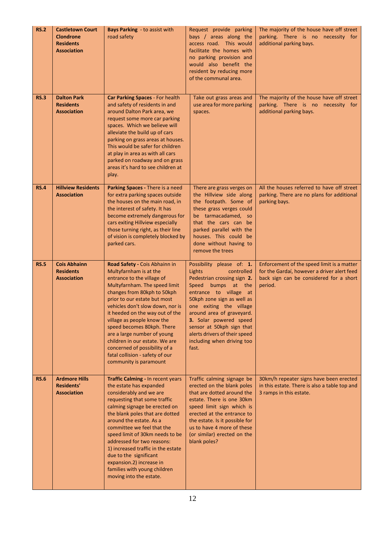| <b>RS.2</b> | <b>Castletown Court</b><br><b>Clondrone</b><br><b>Residents</b><br><b>Association</b> | <b>Bays Parking - to assist with</b><br>road safety                                                                                                                                                                                                                                                                                                                                                                                                                                     | Request provide parking<br>bays / areas along the<br>access road. This would<br>facilitate the homes with<br>no parking provision and<br>would also benefit the<br>resident by reducing more<br>of the communal area.                                                                                                                                    | The majority of the house have off street<br>parking. There is no necessity for<br>additional parking bays.                                     |
|-------------|---------------------------------------------------------------------------------------|-----------------------------------------------------------------------------------------------------------------------------------------------------------------------------------------------------------------------------------------------------------------------------------------------------------------------------------------------------------------------------------------------------------------------------------------------------------------------------------------|----------------------------------------------------------------------------------------------------------------------------------------------------------------------------------------------------------------------------------------------------------------------------------------------------------------------------------------------------------|-------------------------------------------------------------------------------------------------------------------------------------------------|
| <b>RS.3</b> | <b>Dalton Park</b><br><b>Residents</b><br><b>Association</b>                          | Car Parking Spaces - For health<br>and safety of residents in and<br>around Dalton Park area, we<br>request some more car parking<br>spaces. Which we believe will<br>alleviate the build up of cars<br>parking on grass areas at houses.<br>This would be safer for children<br>at play in area as with all cars<br>parked on roadway and on grass<br>areas it's hard to see children at<br>play.                                                                                      | Take out grass areas and<br>use area for more parking<br>spaces.                                                                                                                                                                                                                                                                                         | The majority of the house have off street<br>parking. There is no necessity for<br>additional parking bays.                                     |
| <b>RS.4</b> | <b>Hillview Residents</b><br><b>Association</b>                                       | Parking Spaces - There is a need<br>for extra parking spaces outside<br>the houses on the main road, in<br>the interest of safety. It has<br>become extremely dangerous for<br>cars exiting Hillview especially<br>those turning right, as their line<br>of vision is completely blocked by<br>parked cars.                                                                                                                                                                             | There are grass verges on<br>the Hillview side along<br>the footpath. Some of<br>these grass verges could<br>be tarmacadamed, so<br>that the cars can be<br>parked parallel with the<br>houses. This could be<br>done without having to<br>remove the trees                                                                                              | All the houses referred to have off street<br>parking. There are no plans for additional<br>parking bays.                                       |
| <b>RS.5</b> | <b>Cois Abhainn</b><br><b>Residents</b><br><b>Association</b>                         | Road Safety - Cois Abhainn in<br>Multyfarnham is at the<br>entrance to the village of<br>Multyfarnham. The speed limit<br>changes from 80kph to 50kph<br>prior to our estate but most<br>vehicles don't slow down, nor is<br>it heeded on the way out of the<br>village as people know the<br>speed becomes 80kph. There<br>are a large number of young<br>children in our estate. We are<br>concerned of possibility of a<br>fatal collision - safety of our<br>community is paramount | Possibility please of: 1.<br>Lights<br>controlled<br>Pedestrian crossing sign 2.<br>Speed<br>bumps at the<br>entrance to village at<br>50kph zone sign as well as<br>one exiting the village<br>around area of graveyard.<br>3. Solar powered speed<br>sensor at 50kph sign that<br>alerts drivers of their speed<br>including when driving too<br>fast. | Enforcement of the speed limit is a matter<br>for the Gardaí, however a driver alert feed<br>back sign can be considered for a short<br>period. |
| <b>RS.6</b> | <b>Ardmore Hills</b><br><b>Residents'</b><br><b>Association</b>                       | Traffic Calming - In recent years<br>the estate has expanded<br>considerably and we are<br>requesting that some traffic<br>calming signage be erected on<br>the blank poles that are dotted<br>around the estate. As a<br>committee we feel that the<br>speed limit of 30km needs to be<br>addressed for two reasons:<br>1) increased traffic in the estate<br>due to the significant<br>expansion.2) increase in<br>families with young children<br>moving into the estate.            | Traffic calming signage be<br>erected on the blank poles<br>that are dotted around the<br>estate. There is one 30km<br>speed limit sign which is<br>erected at the entrance to<br>the estate. Is it possible for<br>us to have 4 more of these<br>(or similar) erected on the<br>blank poles?                                                            | 30km/h repeater signs have been erected<br>in this estate. There is also a table top and<br>3 ramps in this estate.                             |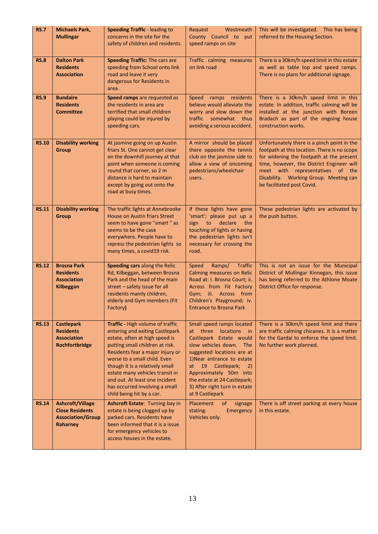| <b>RS.7</b>  | <b>Michaels Park,</b><br><b>Mullingar</b>                                                 | <b>Speeding Traffic - leading to</b><br>concerns in the site for the<br>safety of children and residents.                                                                                                                                                                                                                                                                           | Request<br>Westmeath<br>County Council to<br>put<br>speed ramps on site                                                                                                                                                                                                                                                            | This will be investigated. This has being<br>referred to the Housing Section.                                                                                                                                                                                                                    |
|--------------|-------------------------------------------------------------------------------------------|-------------------------------------------------------------------------------------------------------------------------------------------------------------------------------------------------------------------------------------------------------------------------------------------------------------------------------------------------------------------------------------|------------------------------------------------------------------------------------------------------------------------------------------------------------------------------------------------------------------------------------------------------------------------------------------------------------------------------------|--------------------------------------------------------------------------------------------------------------------------------------------------------------------------------------------------------------------------------------------------------------------------------------------------|
| <b>RS.8</b>  | <b>Dalton Park</b><br><b>Residents</b><br><b>Association</b>                              | <b>Speeding Traffic: The cars are</b><br>speeding from School onto link<br>road and leave it very<br>dangerous for Residents in<br>area.                                                                                                                                                                                                                                            | Traffic calming measures<br>on link road                                                                                                                                                                                                                                                                                           | There is a 30km/h speed limit in this estate<br>as well as table top and speed ramps.<br>There is no plans for additional signage.                                                                                                                                                               |
| <b>RS.9</b>  | <b>Bundaire</b><br><b>Residents</b><br><b>Committee</b>                                   | Speed ramps are requested as<br>the residents in area are<br>terrified that small children<br>playing could be injured by<br>speeding cars.                                                                                                                                                                                                                                         | Speed<br>ramps residents<br>believe would alleviate the<br>worry and slow down the<br>traffic somewhat<br>thus<br>avoiding a serious accident.                                                                                                                                                                                     | There is a 30km/h speed limit in this<br>estate. In addition, traffic calming will be<br>installed at the junction with Boreen<br>Bradach as part of the ongoing house<br>construction works.                                                                                                    |
| <b>RS.10</b> | <b>Disability working</b><br><b>Group</b>                                                 | At jasmine going on up Austin<br>friars St. One cannot get clear<br>on the downhill journey at that<br>point when someone is coming<br>round that corner, so 2 m<br>distance is hard to maintain<br>except by going out onto the<br>road at busy times.                                                                                                                             | A mirror should be placed<br>there opposite the tennis<br>club on the jasmine side to<br>allow a view of oncoming<br>pedestrians/wheelchair<br>users.                                                                                                                                                                              | Unfortunately there is a pinch point in the<br>footpath at this location. There is no scope<br>for widening the footpath at the present<br>time, however, the District Engineer will<br>meet with representatives of the<br>Disability. Working Group. Meeting can<br>be facilitated post Covid. |
| <b>RS.11</b> | <b>Disability working</b><br>Group                                                        | The traffic lights at Annebrooke<br><b>House on Austin friars Street</b><br>seem to have gone "smart" as<br>seems to be the case<br>everywhere. People have to<br>repress the pedestrian lights so<br>many times, a covid19 risk.                                                                                                                                                   | If these lights have gone<br>'smart'; please put up a<br>sign to declare<br>the<br>touching of lights or having<br>the pedestrian lights isn't<br>necessary for crossing the<br>road.                                                                                                                                              | These pedestrian lights are activated by<br>the push button.                                                                                                                                                                                                                                     |
| <b>RS.12</b> | <b>Brosna Park</b><br><b>Residents</b><br><b>Association</b><br>Kilbeggan                 | Speeding cars along the Relic<br>Rd, Kilbeggan, between Brosna<br>Park and the head of the main<br>street - safety issue for all<br>residents mainly children,<br>elderly and Gym members (Fit<br>Factory)                                                                                                                                                                          | Ramps/ Traffic<br>Speed<br>Calming measures on Relic<br>Road at: I. Brosna Court; ii.<br>Across from Fit Factory<br>Gym; iii. Across from<br>Children's Playground; iv.<br><b>Entrance to Brosna Park</b>                                                                                                                          | This is not an issue for the Municipal<br>District of Mullingar Kinnegan, this issue<br>has being referred to the Athlone Moate<br>District Office for response.                                                                                                                                 |
| <b>RS.13</b> | <b>Castlepark</b><br><b>Residents</b><br><b>Association</b><br>Rochfortbridge             | Traffic - High volume of traffic<br>entering and exiting Castlepark<br>estate, often at high speed is<br>putting small children at risk.<br>Residents fear a major injury or<br>worse to a small child. Even<br>though it is a relatively small<br>estate many vehicles transit in<br>and out. At least one incident<br>has occurred involving a small<br>child being hit by a car. | Small speed ramps located<br>at three<br>locations in<br>Castlepark Estate would<br>slow vehicles down. The<br>suggested locations are at<br>1) Near entrance to estate<br>at<br>19 Castlepark;<br>$\left( 2\right)$<br>Approximately 50m into<br>the estate at 24 Castlepark;<br>3) After right turn in estate<br>at 9 Castlepark | There is a 30km/h speed limit and there<br>are traffic calming chicanes. It is a matter<br>for the Gardaí to enforce the speed limit.<br>No further work planned.                                                                                                                                |
| <b>RS.14</b> | <b>Ashcroft/Village</b><br><b>Close Residents</b><br><b>Association/Group</b><br>Raharney | Ashcroft Estate: Turning bay in<br>estate is being clogged up by<br>parked cars. Residents have<br>been informed that it is a issue<br>for emergency vehicles to<br>access houses in the estate.                                                                                                                                                                                    | Placement<br>of<br>signage<br>stating:<br>Emergency<br>Vehicles only.                                                                                                                                                                                                                                                              | There is off street parking at every house<br>in this estate.                                                                                                                                                                                                                                    |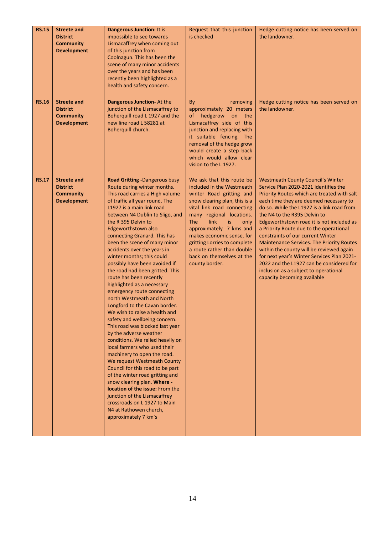| <b>RS.15</b> | <b>Streete and</b><br><b>District</b><br><b>Community</b><br><b>Development</b> | <b>Dangerous Junction: It is</b><br>impossible to see towards<br>Lismacaffrey when coming out<br>of this junction from<br>Coolnagun. This has been the<br>scene of many minor accidents<br>over the years and has been<br>recently been highlighted as a<br>health and safety concern.                                                                                                                                                                                                                                                                                                                                                                                                                                                                                                                                                                                                                                                                                                                                                                                                                                                  | Request that this junction<br>is checked                                                                                                                                                                                                                                                                                                                                               | Hedge cutting notice has been served on<br>the landowner.                                                                                                                                                                                                                                                                                                                                                                                                                                                                                                                                                                                               |
|--------------|---------------------------------------------------------------------------------|-----------------------------------------------------------------------------------------------------------------------------------------------------------------------------------------------------------------------------------------------------------------------------------------------------------------------------------------------------------------------------------------------------------------------------------------------------------------------------------------------------------------------------------------------------------------------------------------------------------------------------------------------------------------------------------------------------------------------------------------------------------------------------------------------------------------------------------------------------------------------------------------------------------------------------------------------------------------------------------------------------------------------------------------------------------------------------------------------------------------------------------------|----------------------------------------------------------------------------------------------------------------------------------------------------------------------------------------------------------------------------------------------------------------------------------------------------------------------------------------------------------------------------------------|---------------------------------------------------------------------------------------------------------------------------------------------------------------------------------------------------------------------------------------------------------------------------------------------------------------------------------------------------------------------------------------------------------------------------------------------------------------------------------------------------------------------------------------------------------------------------------------------------------------------------------------------------------|
| <b>RS.16</b> | <b>Streete and</b><br><b>District</b><br><b>Community</b><br><b>Development</b> | Dangerous Junction- At the<br>junction of the Lismacaffrey to<br>Boherquill road L 1927 and the<br>new line road L 58281 at<br>Boherquill church.                                                                                                                                                                                                                                                                                                                                                                                                                                                                                                                                                                                                                                                                                                                                                                                                                                                                                                                                                                                       | removing<br>By<br>approximately 20 meters<br>hedgerow on the<br>of<br>Lismacaffrey side of this<br>junction and replacing with<br>it suitable fencing. The<br>removal of the hedge grow<br>would create a step back<br>which would allow clear<br>vision to the L 1927.                                                                                                                | Hedge cutting notice has been served on<br>the landowner.                                                                                                                                                                                                                                                                                                                                                                                                                                                                                                                                                                                               |
| <b>RS.17</b> | <b>Streete and</b><br><b>District</b><br><b>Community</b><br><b>Development</b> | <b>Road Gritting -Dangerous busy</b><br>Route during winter months.<br>This road carries a High volume<br>of traffic all year round. The<br>L1927 is a main link road<br>between N4 Dublin to Sligo, and<br>the R 395 Delvin to<br>Edgeworthstown also<br>connecting Granard. This has<br>been the scene of many minor<br>accidents over the years in<br>winter months; this could<br>possibly have been avoided if<br>the road had been gritted. This<br>route has been recently<br>highlighted as a necessary<br>emergency route connecting<br>north Westmeath and North<br>Longford to the Cavan border.<br>We wish to raise a health and<br>safety and wellbeing concern.<br>This road was blocked last year<br>by the adverse weather<br>conditions. We relied heavily on<br>local farmers who used their<br>machinery to open the road.<br>We request Westmeath County<br>Council for this road to be part<br>of the winter road gritting and<br>snow clearing plan. Where -<br>location of the issue: From the<br>junction of the Lismacaffrey<br>crossroads on L 1927 to Main<br>N4 at Rathowen church,<br>approximately 7 km's | We ask that this route be<br>included in the Westmeath<br>winter Road gritting and<br>snow clearing plan, this is a<br>vital link road connecting<br>many regional locations.<br>link<br><b>The</b><br>is<br>only<br>approximately 7 kms and<br>makes economic sense, for<br>gritting Lorries to complete<br>a route rather than double<br>back on themselves at the<br>county border. | <b>Westmeath County Council's Winter</b><br>Service Plan 2020-2021 identifies the<br>Priority Routes which are treated with salt<br>each time they are deemed necessary to<br>do so. While the L1927 is a link road from<br>the N4 to the R395 Delvin to<br>Edgeworthstown road it is not included as<br>a Priority Route due to the operational<br>constraints of our current Winter<br><b>Maintenance Services. The Priority Routes</b><br>within the county will be reviewed again<br>for next year's Winter Services Plan 2021-<br>2022 and the L1927 can be considered for<br>inclusion as a subject to operational<br>capacity becoming available |